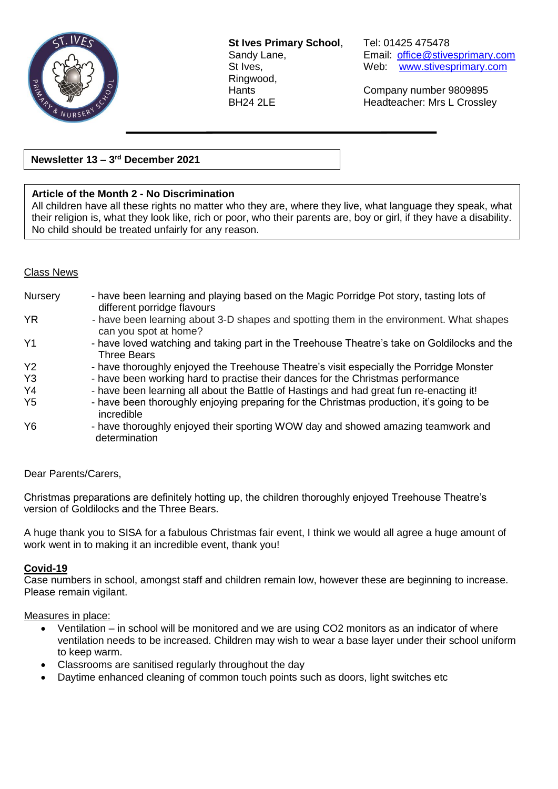

**St Ives Primary School**, Tel: 01425 475478 Ringwood,

Sandy Lane, Email: [office@stivesprimary.com](mailto:office@stivesprimary.com) St Ives, Web: [www.stivesprimary.com](http://www.stives.dorset.sch.uk/)

Hants Company number 9809895 BH24 2LE Headteacher: Mrs L Crossley

**Newsletter 13 – 3 rd December 2021**

### **Article of the Month 2 - No Discrimination**

All children have all these rights no matter who they are, where they live, what language they speak, what their religion is, what they look like, rich or poor, who their parents are, boy or girl, if they have a disability. No child should be treated unfairly for any reason.

### Class News

| Nursery        | - have been learning and playing based on the Magic Porridge Pot story, tasting lots of<br>different porridge flavours |  |
|----------------|------------------------------------------------------------------------------------------------------------------------|--|
| <b>YR</b>      | - have been learning about 3-D shapes and spotting them in the environment. What shapes<br>can you spot at home?       |  |
| Y <sub>1</sub> | - have loved watching and taking part in the Treehouse Theatre's take on Goldilocks and the<br><b>Three Bears</b>      |  |
| <b>Y2</b>      | - have thoroughly enjoyed the Treehouse Theatre's visit especially the Porridge Monster                                |  |
| $Y_3$          | - have been working hard to practise their dances for the Christmas performance                                        |  |
| Y <sub>4</sub> | - have been learning all about the Battle of Hastings and had great fun re-enacting it!                                |  |
| Y <sub>5</sub> | - have been thoroughly enjoying preparing for the Christmas production, it's going to be<br>incredible                 |  |
| Y6             | - have thoroughly enjoyed their sporting WOW day and showed amazing teamwork and<br>determination                      |  |

Dear Parents/Carers,

Christmas preparations are definitely hotting up, the children thoroughly enjoyed Treehouse Theatre's version of Goldilocks and the Three Bears.

A huge thank you to SISA for a fabulous Christmas fair event, I think we would all agree a huge amount of work went in to making it an incredible event, thank you!

### **Covid-19**

Case numbers in school, amongst staff and children remain low, however these are beginning to increase. Please remain vigilant.

Measures in place:

- Ventilation in school will be monitored and we are using CO2 monitors as an indicator of where ventilation needs to be increased. Children may wish to wear a base layer under their school uniform to keep warm.
- Classrooms are sanitised regularly throughout the day
- Daytime enhanced cleaning of common touch points such as doors, light switches etc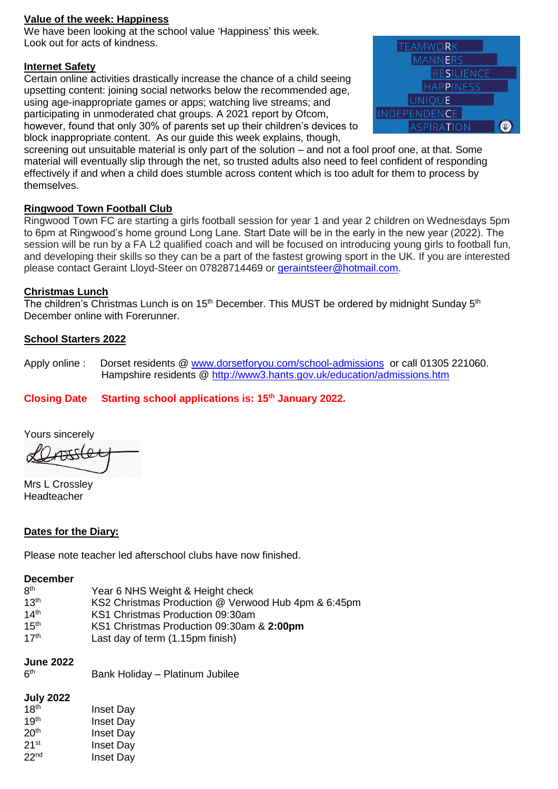## **Value of the week: Happiness**

We have been looking at the school value 'Happiness' this week. Look out for acts of kindness.

### **Internet Safety**

Certain online activities drastically increase the chance of a child seeing upsetting content: joining social networks below the recommended age, using age-inappropriate games or apps; watching live streams; and participating in unmoderated chat groups. A 2021 report by Ofcom, however, found that only 30% of parents set up their children's devices to block inappropriate content. As our guide this week explains, though,



screening out unsuitable material is only part of the solution – and not a fool proof one, at that. Some material will eventually slip through the net, so trusted adults also need to feel confident of responding effectively if and when a child does stumble across content which is too adult for them to process by themselves.

### **Ringwood Town Football Club**

Ringwood Town FC are starting a girls football session for year 1 and year 2 children on Wednesdays 5pm to 6pm at Ringwood's home ground Long Lane. Start Date will be in the early in the new year (2022). The session will be run by a FA L2 qualified coach and will be focused on introducing young girls to football fun, and developing their skills so they can be a part of the fastest growing sport in the UK. If you are interested please contact Geraint Lloyd-Steer on 07828714469 or [geraintsteer@hotmail.com.](mailto:geraintsteer@hotmail.com)

### **Christmas Lunch**

The children's Christmas Lunch is on  $15<sup>th</sup>$  December. This MUST be ordered by midnight Sunday  $5<sup>th</sup>$ December online with Forerunner.

### **School Starters 2022**

Apply online : Dorset residents @ [www.dorsetforyou.com/school-admissions](http://www.dorsetforyou.com/school-admissions) or call 01305 221060. Hampshire residents @<http://www3.hants.gov.uk/education/admissions.htm>

## **Closing Date Starting school applications is: 15th January 2022.**

Yours sincerely

ATTFLet

Mrs L Crossley Headteacher

### **Dates for the Diary:**

Please note teacher led afterschool clubs have now finished.

### **December**

| 8 <sup>th</sup>  | Year 6 NHS Weight & Height check                    |
|------------------|-----------------------------------------------------|
| 13 <sup>th</sup> | KS2 Christmas Production @ Verwood Hub 4pm & 6:45pm |
| 14 <sup>th</sup> | KS1 Christmas Production 09:30am                    |
| 15 <sup>th</sup> | KS1 Christmas Production 09:30am & 2:00pm           |
| 17 <sup>th</sup> | Last day of term (1.15pm finish)                    |

### **June 2022**

### **July 2022**

| 18 <sup>th</sup>   | Inset Day        |
|--------------------|------------------|
| 19 <sup>th</sup>   | <b>Inset Day</b> |
| 20 <sup>th</sup>   | <b>Inset Day</b> |
| $21$ <sup>st</sup> | <b>Inset Day</b> |
| 22 <sup>nd</sup>   | <b>Inset Day</b> |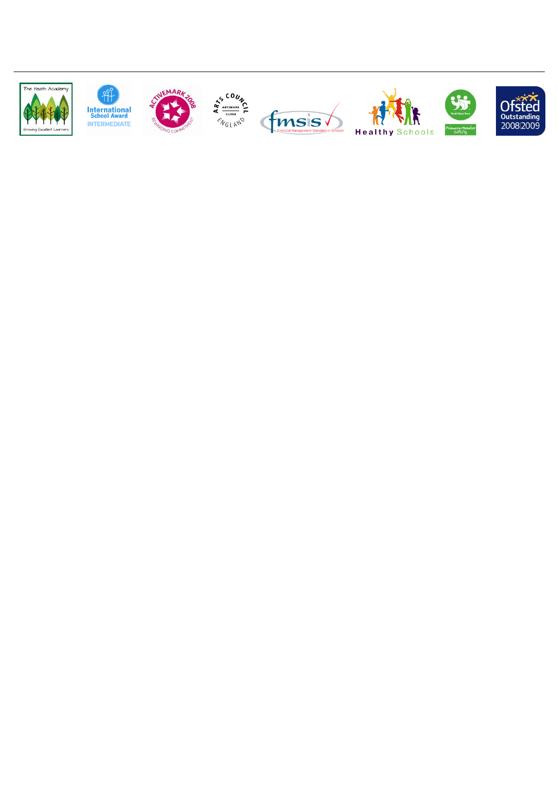